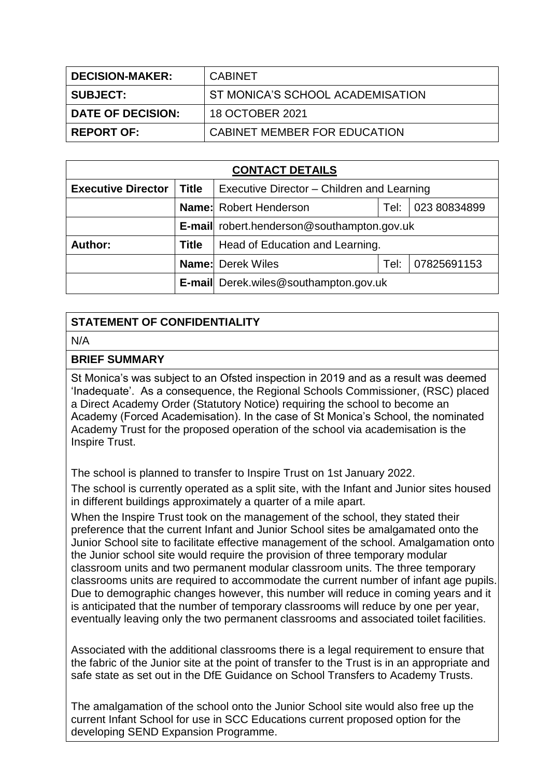| <b>DECISION-MAKER:</b> | <b>CABINET</b>                   |
|------------------------|----------------------------------|
| <b>SUBJECT:</b>        | ST MONICA'S SCHOOL ACADEMISATION |
| DATE OF DECISION:      | 18 OCTOBER 2021                  |
| <b>REPORT OF:</b>      | CABINET MEMBER FOR EDUCATION     |

| <b>CONTACT DETAILS</b>    |              |                                                   |      |              |
|---------------------------|--------------|---------------------------------------------------|------|--------------|
| <b>Executive Director</b> | <b>Title</b> | Executive Director - Children and Learning        |      |              |
|                           |              | <b>Name:</b> Robert Henderson                     | Tel: | 023 80834899 |
|                           |              | <b>E-mail</b> robert.henderson@southampton.gov.uk |      |              |
| Author:                   | <b>Title</b> | Head of Education and Learning.                   |      |              |
|                           |              | <b>Name:</b> Derek Wiles                          | Tel: | 07825691153  |
|                           |              | <b>E-mail</b> Derek.wiles@southampton.gov.uk      |      |              |

# **STATEMENT OF CONFIDENTIALITY**

#### N/A

#### **BRIEF SUMMARY**

St Monica's was subject to an Ofsted inspection in 2019 and as a result was deemed 'Inadequate'. As a consequence, the Regional Schools Commissioner, (RSC) placed a Direct Academy Order (Statutory Notice) requiring the school to become an Academy (Forced Academisation). In the case of St Monica's School, the nominated Academy Trust for the proposed operation of the school via academisation is the Inspire Trust.

The school is planned to transfer to Inspire Trust on 1st January 2022.

The school is currently operated as a split site, with the Infant and Junior sites housed in different buildings approximately a quarter of a mile apart.

When the Inspire Trust took on the management of the school, they stated their preference that the current Infant and Junior School sites be amalgamated onto the Junior School site to facilitate effective management of the school. Amalgamation onto the Junior school site would require the provision of three temporary modular classroom units and two permanent modular classroom units. The three temporary classrooms units are required to accommodate the current number of infant age pupils. Due to demographic changes however, this number will reduce in coming years and it is anticipated that the number of temporary classrooms will reduce by one per year, eventually leaving only the two permanent classrooms and associated toilet facilities.

Associated with the additional classrooms there is a legal requirement to ensure that the fabric of the Junior site at the point of transfer to the Trust is in an appropriate and safe state as set out in the DfE Guidance on School Transfers to Academy Trusts.

The amalgamation of the school onto the Junior School site would also free up the current Infant School for use in SCC Educations current proposed option for the developing SEND Expansion Programme.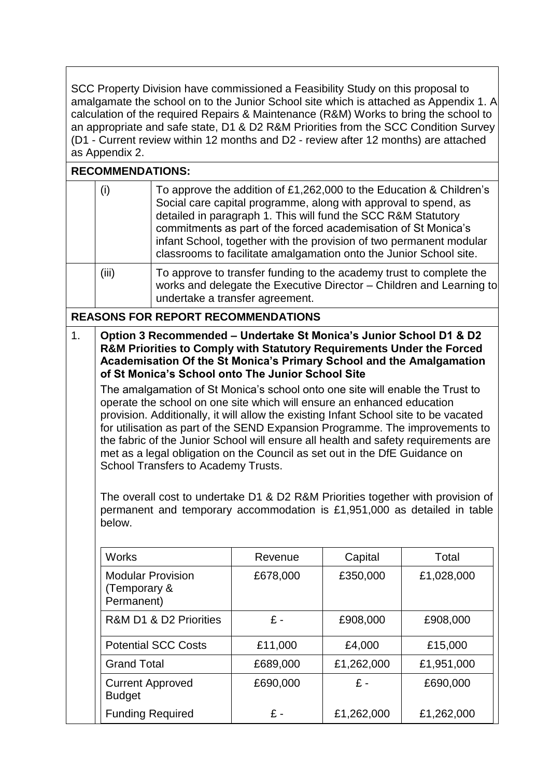SCC Property Division have commissioned a Feasibility Study on this proposal to amalgamate the school on to the Junior School site which is attached as Appendix 1. A calculation of the required Repairs & Maintenance (R&M) Works to bring the school to an appropriate and safe state, D1 & D2 R&M Priorities from the SCC Condition Survey (D1 - Current review within 12 months and D2 - review after 12 months) are attached as Appendix 2.

### **RECOMMENDATIONS:**

|                | (i)                                                                                                                                                                                                                                                                                                                                                                                                                                                                                                                                                                                                                                                                                                                                                                                                                                                                                                                                                                                                                                                     | To approve the addition of £1,262,000 to the Education & Children's<br>Social care capital programme, along with approval to spend, as<br>detailed in paragraph 1. This will fund the SCC R&M Statutory<br>commitments as part of the forced academisation of St Monica's<br>infant School, together with the provision of two permanent modular<br>classrooms to facilitate amalgamation onto the Junior School site. |          |            |            |
|----------------|---------------------------------------------------------------------------------------------------------------------------------------------------------------------------------------------------------------------------------------------------------------------------------------------------------------------------------------------------------------------------------------------------------------------------------------------------------------------------------------------------------------------------------------------------------------------------------------------------------------------------------------------------------------------------------------------------------------------------------------------------------------------------------------------------------------------------------------------------------------------------------------------------------------------------------------------------------------------------------------------------------------------------------------------------------|------------------------------------------------------------------------------------------------------------------------------------------------------------------------------------------------------------------------------------------------------------------------------------------------------------------------------------------------------------------------------------------------------------------------|----------|------------|------------|
|                | (iii)                                                                                                                                                                                                                                                                                                                                                                                                                                                                                                                                                                                                                                                                                                                                                                                                                                                                                                                                                                                                                                                   | To approve to transfer funding to the academy trust to complete the<br>works and delegate the Executive Director - Children and Learning to<br>undertake a transfer agreement.                                                                                                                                                                                                                                         |          |            |            |
|                |                                                                                                                                                                                                                                                                                                                                                                                                                                                                                                                                                                                                                                                                                                                                                                                                                                                                                                                                                                                                                                                         |                                                                                                                                                                                                                                                                                                                                                                                                                        |          |            |            |
| 1 <sub>1</sub> | <b>REASONS FOR REPORT RECOMMENDATIONS</b><br>Option 3 Recommended - Undertake St Monica's Junior School D1 & D2<br><b>R&amp;M Priorities to Comply with Statutory Requirements Under the Forced</b><br>Academisation Of the St Monica's Primary School and the Amalgamation<br>of St Monica's School onto The Junior School Site<br>The amalgamation of St Monica's school onto one site will enable the Trust to<br>operate the school on one site which will ensure an enhanced education<br>provision. Additionally, it will allow the existing Infant School site to be vacated<br>for utilisation as part of the SEND Expansion Programme. The improvements to<br>the fabric of the Junior School will ensure all health and safety requirements are<br>met as a legal obligation on the Council as set out in the DfE Guidance on<br>School Transfers to Academy Trusts.<br>The overall cost to undertake D1 & D2 R&M Priorities together with provision of<br>permanent and temporary accommodation is £1,951,000 as detailed in table<br>below. |                                                                                                                                                                                                                                                                                                                                                                                                                        |          |            |            |
|                | <b>Works</b>                                                                                                                                                                                                                                                                                                                                                                                                                                                                                                                                                                                                                                                                                                                                                                                                                                                                                                                                                                                                                                            |                                                                                                                                                                                                                                                                                                                                                                                                                        | Revenue  | Capital    | Total      |
|                | <b>Modular Provision</b><br>(Temporary &<br>Permanent)                                                                                                                                                                                                                                                                                                                                                                                                                                                                                                                                                                                                                                                                                                                                                                                                                                                                                                                                                                                                  |                                                                                                                                                                                                                                                                                                                                                                                                                        | £678,000 | £350,000   | £1,028,000 |
|                |                                                                                                                                                                                                                                                                                                                                                                                                                                                                                                                                                                                                                                                                                                                                                                                                                                                                                                                                                                                                                                                         | R&M D1 & D2 Priorities                                                                                                                                                                                                                                                                                                                                                                                                 | $E -$    | £908,000   | £908,000   |
|                |                                                                                                                                                                                                                                                                                                                                                                                                                                                                                                                                                                                                                                                                                                                                                                                                                                                                                                                                                                                                                                                         | <b>Potential SCC Costs</b>                                                                                                                                                                                                                                                                                                                                                                                             | £11,000  | £4,000     | £15,000    |
|                | <b>Grand Total</b>                                                                                                                                                                                                                                                                                                                                                                                                                                                                                                                                                                                                                                                                                                                                                                                                                                                                                                                                                                                                                                      |                                                                                                                                                                                                                                                                                                                                                                                                                        | £689,000 | £1,262,000 | £1,951,000 |
|                | <b>Current Approved</b><br><b>Budget</b>                                                                                                                                                                                                                                                                                                                                                                                                                                                                                                                                                                                                                                                                                                                                                                                                                                                                                                                                                                                                                |                                                                                                                                                                                                                                                                                                                                                                                                                        | £690,000 | £-         | £690,000   |
|                | <b>Funding Required</b>                                                                                                                                                                                                                                                                                                                                                                                                                                                                                                                                                                                                                                                                                                                                                                                                                                                                                                                                                                                                                                 |                                                                                                                                                                                                                                                                                                                                                                                                                        | $E -$    | £1,262,000 | £1,262,000 |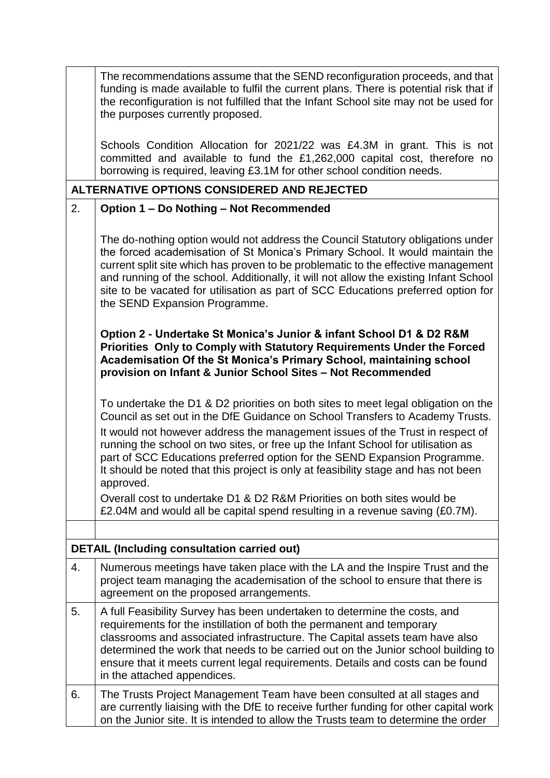|    | The recommendations assume that the SEND reconfiguration proceeds, and that<br>funding is made available to fulfil the current plans. There is potential risk that if<br>the reconfiguration is not fulfilled that the Infant School site may not be used for<br>the purposes currently proposed.                                                                                                                                                                                                                       |
|----|-------------------------------------------------------------------------------------------------------------------------------------------------------------------------------------------------------------------------------------------------------------------------------------------------------------------------------------------------------------------------------------------------------------------------------------------------------------------------------------------------------------------------|
|    | Schools Condition Allocation for 2021/22 was £4.3M in grant. This is not<br>committed and available to fund the £1,262,000 capital cost, therefore no<br>borrowing is required, leaving £3.1M for other school condition needs.                                                                                                                                                                                                                                                                                         |
|    | ALTERNATIVE OPTIONS CONSIDERED AND REJECTED                                                                                                                                                                                                                                                                                                                                                                                                                                                                             |
| 2. | Option 1 - Do Nothing - Not Recommended                                                                                                                                                                                                                                                                                                                                                                                                                                                                                 |
|    | The do-nothing option would not address the Council Statutory obligations under<br>the forced academisation of St Monica's Primary School. It would maintain the<br>current split site which has proven to be problematic to the effective management<br>and running of the school. Additionally, it will not allow the existing Infant School<br>site to be vacated for utilisation as part of SCC Educations preferred option for<br>the SEND Expansion Programme.                                                    |
|    | Option 2 - Undertake St Monica's Junior & infant School D1 & D2 R&M<br>Priorities Only to Comply with Statutory Requirements Under the Forced<br>Academisation Of the St Monica's Primary School, maintaining school<br>provision on Infant & Junior School Sites - Not Recommended                                                                                                                                                                                                                                     |
|    | To undertake the D1 & D2 priorities on both sites to meet legal obligation on the<br>Council as set out in the DfE Guidance on School Transfers to Academy Trusts.<br>It would not however address the management issues of the Trust in respect of<br>running the school on two sites, or free up the Infant School for utilisation as<br>part of SCC Educations preferred option for the SEND Expansion Programme.<br>It should be noted that this project is only at feasibility stage and has not been<br>approved. |
|    | Overall cost to undertake D1 & D2 R&M Priorities on both sites would be<br>£2.04M and would all be capital spend resulting in a revenue saving (£0.7M).                                                                                                                                                                                                                                                                                                                                                                 |
|    |                                                                                                                                                                                                                                                                                                                                                                                                                                                                                                                         |
|    | <b>DETAIL (Including consultation carried out)</b>                                                                                                                                                                                                                                                                                                                                                                                                                                                                      |
| 4. | Numerous meetings have taken place with the LA and the Inspire Trust and the<br>project team managing the academisation of the school to ensure that there is<br>agreement on the proposed arrangements.                                                                                                                                                                                                                                                                                                                |
| 5. | A full Feasibility Survey has been undertaken to determine the costs, and<br>requirements for the instillation of both the permanent and temporary<br>classrooms and associated infrastructure. The Capital assets team have also<br>determined the work that needs to be carried out on the Junior school building to<br>ensure that it meets current legal requirements. Details and costs can be found<br>in the attached appendices.                                                                                |
| 6. | The Trusts Project Management Team have been consulted at all stages and<br>are currently liaising with the DfE to receive further funding for other capital work<br>on the Junior site. It is intended to allow the Trusts team to determine the order                                                                                                                                                                                                                                                                 |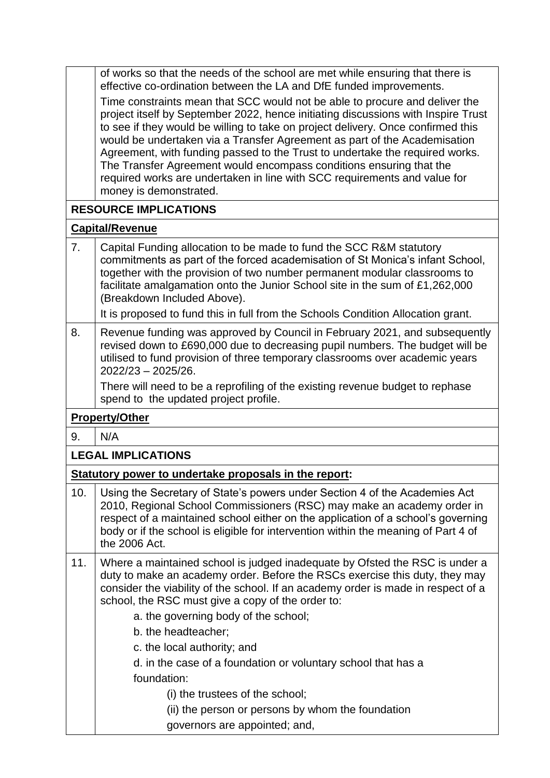of works so that the needs of the school are met while ensuring that there is effective co-ordination between the LA and DfE funded improvements.

Time constraints mean that SCC would not be able to procure and deliver the project itself by September 2022, hence initiating discussions with Inspire Trust to see if they would be willing to take on project delivery. Once confirmed this would be undertaken via a Transfer Agreement as part of the Academisation Agreement, with funding passed to the Trust to undertake the required works. The Transfer Agreement would encompass conditions ensuring that the required works are undertaken in line with SCC requirements and value for money is demonstrated.

# **RESOURCE IMPLICATIONS**

#### **Capital/Revenue**

| 7. | Capital Funding allocation to be made to fund the SCC R&M statutory<br>commitments as part of the forced academisation of St Monica's infant School,<br>together with the provision of two number permanent modular classrooms to<br>facilitate amalgamation onto the Junior School site in the sum of £1,262,000<br>(Breakdown Included Above).<br>It is proposed to fund this in full from the Schools Condition Allocation grant. |
|----|--------------------------------------------------------------------------------------------------------------------------------------------------------------------------------------------------------------------------------------------------------------------------------------------------------------------------------------------------------------------------------------------------------------------------------------|
| 8. | Revenue funding was approved by Council in February 2021, and subsequently                                                                                                                                                                                                                                                                                                                                                           |

revised down to £690,000 due to decreasing pupil numbers. The budget will be utilised to fund provision of three temporary classrooms over academic years 2022/23 – 2025/26.

There will need to be a reprofiling of the existing revenue budget to rephase spend to the updated project profile.

# **Property/Other**

9. N/A

# **LEGAL IMPLICATIONS**

# **Statutory power to undertake proposals in the report:**

- 10. Using the Secretary of State's powers under Section 4 of the Academies Act 2010, Regional School Commissioners (RSC) may make an academy order in respect of a maintained school either on the application of a school's governing body or if the school is eligible for intervention within the meaning of Part 4 of the 2006 Act. 11. Where a maintained school is judged inadequate by Ofsted the RSC is under a duty to make an academy order. Before the RSCs exercise this duty, they may consider the viability of the school. If an academy order is made in respect of a school, the RSC must give a copy of the order to: a. the governing body of the school; b. the headteacher; c. the local authority; and d. in the case of a foundation or voluntary school that has a foundation: (i) the trustees of the school;
	- (ii) the person or persons by whom the foundation
		- governors are appointed; and,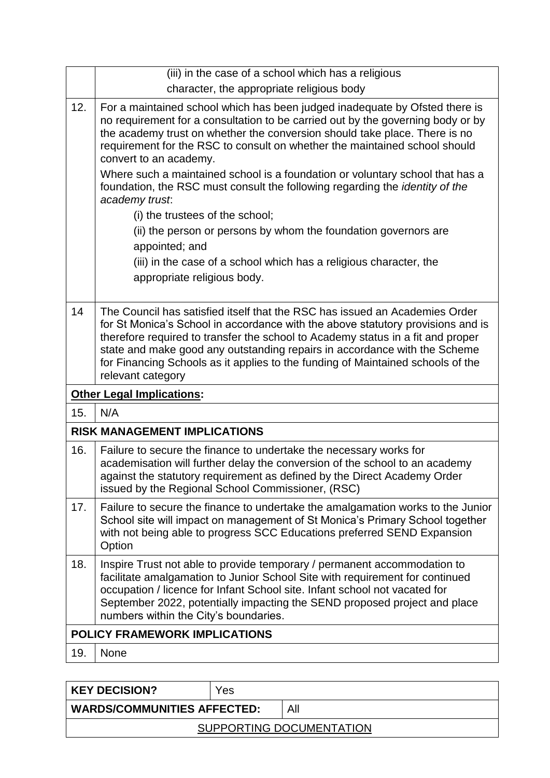|     | (iii) in the case of a school which has a religious                                                                                                                                                                                                                                                                                                                                                                                                                                                                                                                                                                                                                    |
|-----|------------------------------------------------------------------------------------------------------------------------------------------------------------------------------------------------------------------------------------------------------------------------------------------------------------------------------------------------------------------------------------------------------------------------------------------------------------------------------------------------------------------------------------------------------------------------------------------------------------------------------------------------------------------------|
|     | character, the appropriate religious body                                                                                                                                                                                                                                                                                                                                                                                                                                                                                                                                                                                                                              |
| 12. | For a maintained school which has been judged inadequate by Ofsted there is<br>no requirement for a consultation to be carried out by the governing body or by<br>the academy trust on whether the conversion should take place. There is no<br>requirement for the RSC to consult on whether the maintained school should<br>convert to an academy.<br>Where such a maintained school is a foundation or voluntary school that has a<br>foundation, the RSC must consult the following regarding the <i>identity of the</i><br>academy trust:<br>(i) the trustees of the school;<br>(ii) the person or persons by whom the foundation governors are<br>appointed; and |
|     | (iii) in the case of a school which has a religious character, the<br>appropriate religious body.                                                                                                                                                                                                                                                                                                                                                                                                                                                                                                                                                                      |
| 14  | The Council has satisfied itself that the RSC has issued an Academies Order<br>for St Monica's School in accordance with the above statutory provisions and is<br>therefore required to transfer the school to Academy status in a fit and proper<br>state and make good any outstanding repairs in accordance with the Scheme<br>for Financing Schools as it applies to the funding of Maintained schools of the<br>relevant category                                                                                                                                                                                                                                 |
|     |                                                                                                                                                                                                                                                                                                                                                                                                                                                                                                                                                                                                                                                                        |
|     | <b>Other Legal Implications:</b>                                                                                                                                                                                                                                                                                                                                                                                                                                                                                                                                                                                                                                       |
| 15. | N/A                                                                                                                                                                                                                                                                                                                                                                                                                                                                                                                                                                                                                                                                    |
|     | <b>RISK MANAGEMENT IMPLICATIONS</b>                                                                                                                                                                                                                                                                                                                                                                                                                                                                                                                                                                                                                                    |
| 16. | Failure to secure the finance to undertake the necessary works for<br>academisation will further delay the conversion of the school to an academy<br>against the statutory requirement as defined by the Direct Academy Order<br>issued by the Regional School Commissioner, (RSC)                                                                                                                                                                                                                                                                                                                                                                                     |
| 17. | Failure to secure the finance to undertake the amalgamation works to the Junior<br>School site will impact on management of St Monica's Primary School together<br>with not being able to progress SCC Educations preferred SEND Expansion<br>Option                                                                                                                                                                                                                                                                                                                                                                                                                   |
| 18. | Inspire Trust not able to provide temporary / permanent accommodation to<br>facilitate amalgamation to Junior School Site with requirement for continued<br>occupation / licence for Infant School site. Infant school not vacated for<br>September 2022, potentially impacting the SEND proposed project and place<br>numbers within the City's boundaries.                                                                                                                                                                                                                                                                                                           |
|     | <b>POLICY FRAMEWORK IMPLICATIONS</b>                                                                                                                                                                                                                                                                                                                                                                                                                                                                                                                                                                                                                                   |
| 19. | None                                                                                                                                                                                                                                                                                                                                                                                                                                                                                                                                                                                                                                                                   |

**KEY DECISION?** Yes **WARDS/COMMUNITIES AFFECTED:** All SUPPORTING DOCUMENTATION